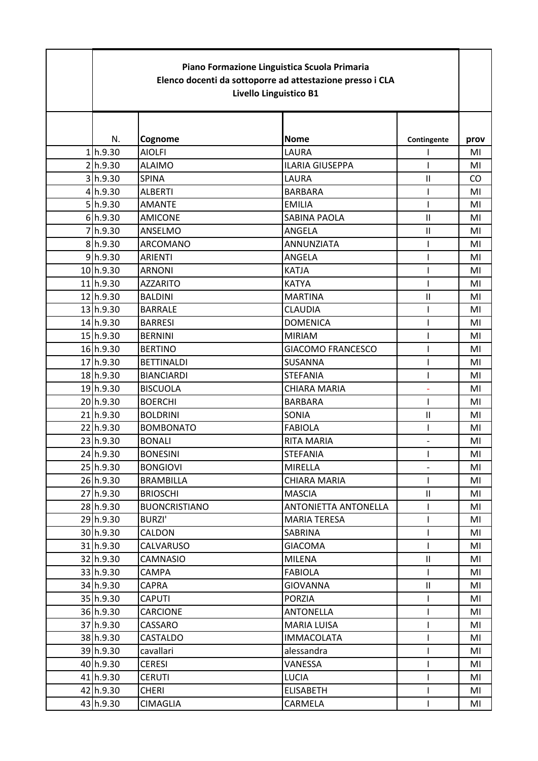| Piano Formazione Linguistica Scuola Primaria<br>Elenco docenti da sottoporre ad attestazione presso i CLA<br>Livello Linguistico B1 |                      |                          |                            |      |
|-------------------------------------------------------------------------------------------------------------------------------------|----------------------|--------------------------|----------------------------|------|
|                                                                                                                                     |                      |                          |                            |      |
| N.                                                                                                                                  | Cognome              | <b>Nome</b>              | Contingente                | prov |
| 1 h.9.30                                                                                                                            | <b>AIOLFI</b>        | LAURA                    |                            | MI   |
| 2 h.9.30                                                                                                                            | <b>ALAIMO</b>        | <b>ILARIA GIUSEPPA</b>   |                            | MI   |
| 3 h.9.30                                                                                                                            | <b>SPINA</b>         | LAURA                    | $\ensuremath{\mathsf{II}}$ | CO.  |
| 4 h.9.30                                                                                                                            | <b>ALBERTI</b>       | <b>BARBARA</b>           |                            | MI   |
| 5 h.9.30                                                                                                                            | <b>AMANTE</b>        | <b>EMILIA</b>            |                            | MI   |
| 6 h.9.30                                                                                                                            | <b>AMICONE</b>       | <b>SABINA PAOLA</b>      | $\mathbf{I}$               | MI   |
| 7h.9.30                                                                                                                             | ANSELMO              | ANGELA                   | $\sf II$                   | MI   |
| 8 h.9.30                                                                                                                            | <b>ARCOMANO</b>      | <b>ANNUNZIATA</b>        |                            | MI   |
| 9 h.9.30                                                                                                                            | <b>ARIENTI</b>       | ANGELA                   |                            | MI   |
| 10h.9.30                                                                                                                            | <b>ARNONI</b>        | <b>KATJA</b>             | ı                          | MI   |
| 11/h.9.30                                                                                                                           | <b>AZZARITO</b>      | <b>KATYA</b>             |                            | MI   |
| 12 h.9.30                                                                                                                           | <b>BALDINI</b>       | <b>MARTINA</b>           | $\mathsf{II}$              | MI   |
| 13 h.9.30                                                                                                                           | <b>BARRALE</b>       | <b>CLAUDIA</b>           | ı                          | MI   |
| 14 h.9.30                                                                                                                           | <b>BARRESI</b>       | <b>DOMENICA</b>          |                            | MI   |
| 15 h.9.30                                                                                                                           | <b>BERNINI</b>       | <b>MIRIAM</b>            | ı                          | MI   |
| 16h.9.30                                                                                                                            | <b>BERTINO</b>       | <b>GIACOMO FRANCESCO</b> |                            | MI   |
| 17 h.9.30                                                                                                                           | <b>BETTINALDI</b>    | <b>SUSANNA</b>           |                            | MI   |
| 18 h.9.30                                                                                                                           | <b>BIANCIARDI</b>    | <b>STEFANIA</b>          |                            | MI   |
| 19 <sub>h.9.30</sub>                                                                                                                | <b>BISCUOLA</b>      | <b>CHIARA MARIA</b>      | L,                         | MI   |
| 20 h.9.30                                                                                                                           | <b>BOERCHI</b>       | <b>BARBARA</b>           | ı                          | MI   |
| 21 <sub>h.9.30</sub>                                                                                                                | <b>BOLDRINI</b>      | SONIA                    | $\mathbf{I}$               | MI   |
| 22h.9.30                                                                                                                            | <b>BOMBONATO</b>     | <b>FABIOLA</b>           | ı                          | MI   |
| 23 h.9.30                                                                                                                           | <b>BONALI</b>        | RITA MARIA               |                            | MI   |
| 24 h.9.30                                                                                                                           | <b>BONESINI</b>      | <b>STEFANIA</b>          |                            | MI   |
| 25 h.9.30                                                                                                                           | <b>BONGIOVI</b>      | MIRELLA                  |                            | MI   |
| 26 h.9.30                                                                                                                           | <b>BRAMBILLA</b>     | CHIARA MARIA             |                            | MI   |
| 27 h.9.30                                                                                                                           | <b>BRIOSCHI</b>      | <b>MASCIA</b>            | $\rm{II}$                  | MI   |
| 28 h.9.30                                                                                                                           | <b>BUONCRISTIANO</b> | ANTONIETTA ANTONELLA     |                            | MI   |
| 29 h.9.30                                                                                                                           | BURZI'               | <b>MARIA TERESA</b>      |                            | MI   |
| 30 h.9.30                                                                                                                           | CALDON               | SABRINA                  |                            | MI   |
| 31 h.9.30                                                                                                                           | CALVARUSO            | <b>GIACOMA</b>           |                            | MI   |
| 32 h.9.30                                                                                                                           | <b>CAMNASIO</b>      | <b>MILENA</b>            | $\mathsf{II}$              | MI   |
| 33 h.9.30                                                                                                                           | <b>CAMPA</b>         | <b>FABIOLA</b>           |                            | MI   |
| 34 h.9.30                                                                                                                           | <b>CAPRA</b>         | <b>GIOVANNA</b>          | Ш                          | MI   |
| 35 h.9.30                                                                                                                           | <b>CAPUTI</b>        | <b>PORZIA</b>            | I                          | MI   |
| 36 h.9.30                                                                                                                           | <b>CARCIONE</b>      | <b>ANTONELLA</b>         |                            | MI   |
| 37 h.9.30                                                                                                                           | CASSARO              | <b>MARIA LUISA</b>       | ı                          | MI   |
| 38 h.9.30                                                                                                                           | <b>CASTALDO</b>      | <b>IMMACOLATA</b>        |                            | MI   |
| 39 h.9.30                                                                                                                           | cavallari            | alessandra               |                            | MI   |
| 40 h.9.30                                                                                                                           | <b>CERESI</b>        | VANESSA                  |                            | MI   |
| 41 h.9.30                                                                                                                           | <b>CERUTI</b>        | <b>LUCIA</b>             |                            | MI   |
| 42 h.9.30                                                                                                                           | <b>CHERI</b>         | <b>ELISABETH</b>         | ı                          | MI   |
| 43 h.9.30                                                                                                                           | <b>CIMAGLIA</b>      | CARMELA                  | L                          | MI   |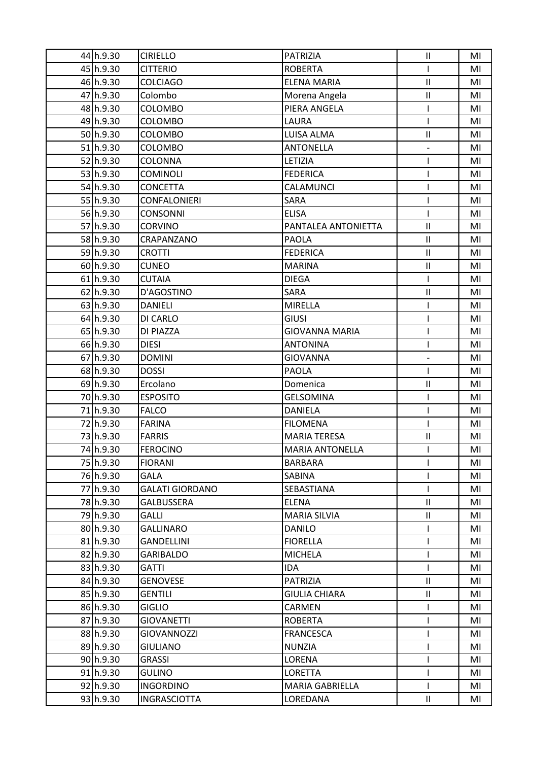| 44 h.9.30              | <b>CIRIELLO</b>        | <b>PATRIZIA</b>        | $\sf II$                   | MI |
|------------------------|------------------------|------------------------|----------------------------|----|
| 45 h.9.30              | <b>CITTERIO</b>        | <b>ROBERTA</b>         | L                          | MI |
| 46 h.9.30              | <b>COLCIAGO</b>        | <b>ELENA MARIA</b>     | $\sf II$                   | MI |
| 47 h.9.30              | Colombo                | Morena Angela          | $\sf II$                   | MI |
| 48 h.9.30              | COLOMBO                | PIERA ANGELA           |                            | MI |
| 49 h.9.30              | COLOMBO                | LAURA                  | I                          | MI |
| 50 h.9.30              | <b>COLOMBO</b>         | LUISA ALMA             | $\sf II$                   | MI |
| $51$ h.9.30            | COLOMBO                | <b>ANTONELLA</b>       | $\overline{\phantom{0}}$   | MI |
| 52h.9.30               | <b>COLONNA</b>         | LETIZIA                | ı                          | MI |
| 53 h.9.30              | <b>COMINOLI</b>        | <b>FEDERICA</b>        | I                          | MI |
| 54 h.9.30              | <b>CONCETTA</b>        | CALAMUNCI              | ı                          | MI |
| 55 h.9.30              | <b>CONFALONIERI</b>    | SARA                   | ı                          | MI |
| 56 h.9.30              | <b>CONSONNI</b>        | <b>ELISA</b>           | I                          | MI |
| 57 h.9.30              | <b>CORVINO</b>         | PANTALEA ANTONIETTA    | $\ensuremath{\mathsf{II}}$ | MI |
| 58 h.9.30              | CRAPANZANO             | <b>PAOLA</b>           | $\ensuremath{\mathsf{II}}$ | MI |
| 59 h.9.30              | <b>CROTTI</b>          | <b>FEDERICA</b>        | $\mathbf{II}$              | MI |
| 60 h.9.30              | <b>CUNEO</b>           | <b>MARINA</b>          | $\sf II$                   | MI |
| $61$ h.9.30            | <b>CUTAIA</b>          | <b>DIEGA</b>           | L                          | MI |
| 62 h.9.30              | D'AGOSTINO             | SARA                   | $\sf II$                   | MI |
| 63 h.9.30              | <b>DANIELI</b>         | <b>MIRELLA</b>         | I                          | MI |
| 64 h.9.30              | DI CARLO               | <b>GIUSI</b>           | ı                          | MI |
| 65 h.9.30              | DI PIAZZA              | <b>GIOVANNA MARIA</b>  | ı                          | MI |
| 66 h.9.30              | <b>DIESI</b>           | <b>ANTONINA</b>        | ı                          | MI |
| 67 h.9.30              | <b>DOMINI</b>          | <b>GIOVANNA</b>        | -                          | MI |
| 68 h.9.30              | <b>DOSSI</b>           | <b>PAOLA</b>           | I                          | MI |
| 69 h.9.30              | Ercolano               | Domenica               | $\sf II$                   | MI |
| 70 h.9.30              | <b>ESPOSITO</b>        | <b>GELSOMINA</b>       | I                          | MI |
| 71 h.9.30              | <b>FALCO</b>           | <b>DANIELA</b>         |                            | MI |
| 72h.9.30               | <b>FARINA</b>          | <b>FILOMENA</b>        | ı                          | MI |
| 73 h.9.30              | <b>FARRIS</b>          | <b>MARIA TERESA</b>    | $\ensuremath{\mathsf{II}}$ | MI |
| 74 h.9.30              | FEROCINO               | <b>MARIA ANTONELLA</b> |                            | MI |
| 75 h.9.30              | <b>FIORANI</b>         | <b>BARBARA</b>         | I                          | MI |
| 76 h.9.30              | <b>GALA</b>            | SABINA                 |                            | MI |
| 77 h.9.30              | <b>GALATI GIORDANO</b> | SEBASTIANA             | I                          | MI |
| 78 h.9.30              | <b>GALBUSSERA</b>      | <b>ELENA</b>           | $\ensuremath{\mathsf{II}}$ | MI |
| 79 h.9.30              | <b>GALLI</b>           | <b>MARIA SILVIA</b>    | $\mathbf{II}$              | MI |
| 80 h.9.30              | <b>GALLINARO</b>       | <b>DANILO</b>          | L                          | MI |
| 81 h.9.30              | <b>GANDELLINI</b>      | <b>FIORELLA</b>        | I                          | MI |
| 82h.9.30               | <b>GARIBALDO</b>       | <b>MICHELA</b>         | I                          | MI |
| 83 h.9.30              | GATTI                  | <b>IDA</b>             | I                          | MI |
| 84 h.9.30              | <b>GENOVESE</b>        | <b>PATRIZIA</b>        | $\ensuremath{\mathsf{II}}$ | MI |
| 85 h.9.30              | <b>GENTILI</b>         | <b>GIULIA CHIARA</b>   | $\ensuremath{\mathsf{II}}$ | MI |
| 86 h.9.30              | <b>GIGLIO</b>          | <b>CARMEN</b>          | I                          | MI |
| 87 h.9.30              | <b>GIOVANETTI</b>      | <b>ROBERTA</b>         | I                          | MI |
| 88 h.9.30              | GIOVANNOZZI            | <b>FRANCESCA</b>       | ı                          | MI |
| 89 h.9.30              | <b>GIULIANO</b>        | <b>NUNZIA</b>          |                            | MI |
| 90 h.9.30              | <b>GRASSI</b>          | LORENA                 |                            | MI |
| 91 <sub>1</sub> h.9.30 | <b>GULINO</b>          | <b>LORETTA</b>         | I                          | MI |
| 92 h.9.30              | <b>INGORDINO</b>       | <b>MARIA GABRIELLA</b> | L                          | MI |
| 93 h.9.30              | <b>INGRASCIOTTA</b>    | LOREDANA               | $\rm H$                    | MI |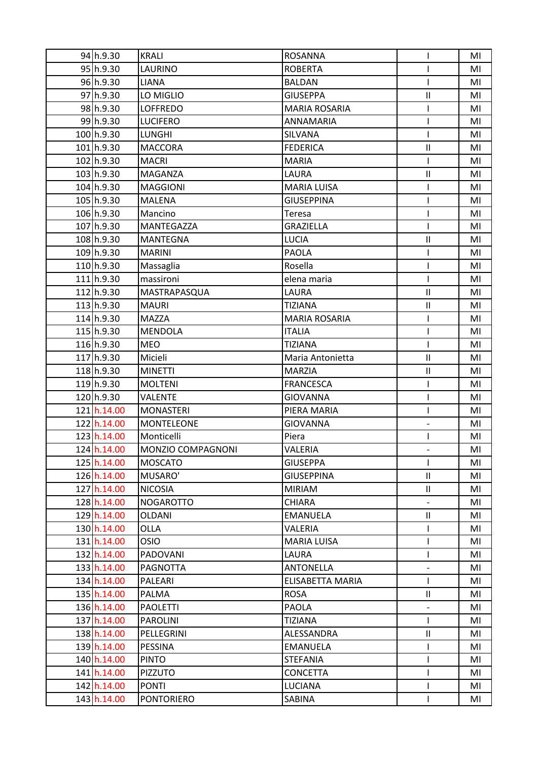| 94 h.9.30                  | <b>KRALI</b>                      | <b>ROSANNA</b>       |                            | MI |
|----------------------------|-----------------------------------|----------------------|----------------------------|----|
| 95 <sub>lh.9.30</sub>      | LAURINO                           | <b>ROBERTA</b>       |                            | MI |
| 96 h.9.30                  | <b>LIANA</b>                      | <b>BALDAN</b>        |                            | MI |
| 97 h.9.30                  | LO MIGLIO                         | <b>GIUSEPPA</b>      | $\sf II$                   | MI |
| 98 h.9.30                  | <b>LOFFREDO</b>                   | <b>MARIA ROSARIA</b> |                            | MI |
| 99 h.9.30                  | <b>LUCIFERO</b>                   | <b>ANNAMARIA</b>     | ı                          | MI |
| 100 h.9.30                 | <b>LUNGHI</b>                     | SILVANA              | ı                          | MI |
| 101 h.9.30                 | <b>MACCORA</b>                    | <b>FEDERICA</b>      | $\ensuremath{\mathsf{II}}$ | MI |
| 102 h.9.30                 | <b>MACRI</b>                      | <b>MARIA</b>         |                            | MI |
| 103 h.9.30                 | MAGANZA                           | LAURA                | $\sf II$                   | MI |
| 104 h.9.30                 | <b>MAGGIONI</b>                   | <b>MARIA LUISA</b>   | L                          | MI |
| 105 h.9.30                 | <b>MALENA</b>                     | <b>GIUSEPPINA</b>    | ı                          | MI |
| 106 h.9.30                 | Mancino                           | Teresa               | I                          | MI |
| 107 h.9.30                 | MANTEGAZZA                        | <b>GRAZIELLA</b>     | T                          | MI |
| 108 h.9.30                 | <b>MANTEGNA</b>                   | <b>LUCIA</b>         | $\sf II$                   | MI |
| 109 <sub>h.9.30</sub>      | <b>MARINI</b>                     | <b>PAOLA</b>         | ı                          | MI |
| 110h.9.30                  | Massaglia                         | Rosella              | ı                          | MI |
| 111 <sub>h.9.30</sub>      | massironi                         | elena maria          | I                          | MI |
| 112 h.9.30                 | MASTRAPASQUA                      | LAURA                | $\ensuremath{\mathsf{II}}$ | MI |
| 113h.9.30                  | <b>MAURI</b>                      | <b>TIZIANA</b>       | $\sf II$                   | MI |
| 114 <sub>h.9.30</sub>      | <b>MAZZA</b>                      | <b>MARIA ROSARIA</b> | ı                          | MI |
| 115 h.9.30                 | <b>MENDOLA</b>                    | <b>ITALIA</b>        | ı                          | MI |
| 116 h.9.30                 | <b>MEO</b>                        | <b>TIZIANA</b>       | I                          | MI |
| 117h.9.30                  | Micieli                           | Maria Antonietta     | $\ensuremath{\mathsf{II}}$ | MI |
| 118 h.9.30                 | <b>MINETTI</b>                    | <b>MARZIA</b>        | $\sf II$                   | MI |
| 119 <sub>h.9.30</sub>      | <b>MOLTENI</b>                    | <b>FRANCESCA</b>     | ı                          | MI |
| 120h.9.30                  | <b>VALENTE</b>                    | <b>GIOVANNA</b>      | I                          | MI |
| 121 h.14.00                | <b>MONASTERI</b>                  | PIERA MARIA          |                            | MI |
| 122 h.14.00                | <b>MONTELEONE</b>                 | <b>GIOVANNA</b>      | $\overline{\phantom{0}}$   | MI |
| 123 h.14.00                | Monticelli                        | Piera                |                            | MI |
| 124 h.14.00                | MONZIO COMPAGNONI                 | VALERIA              |                            | MI |
| 125 h.14.00                | <b>MOSCATO</b>                    | <b>GIUSEPPA</b>      | T                          | MI |
| 126 h.14.00                | MUSARO'                           | <b>GIUSEPPINA</b>    | $\ensuremath{\mathsf{II}}$ | MI |
| 127 h.14.00                | <b>NICOSIA</b>                    | <b>MIRIAM</b>        | $\mathbf{II}$              | MI |
| 128 h.14.00                | <b>NOGAROTTO</b>                  | <b>CHIARA</b>        | $\overline{a}$             | MI |
| 129 h.14.00                | OLDANI                            | <b>EMANUELA</b>      | $\mathbf{II}$              | MI |
| 130 h.14.00                | <b>OLLA</b>                       | VALERIA              | $\mathsf{I}$               | MI |
| 131 h.14.00                | <b>OSIO</b>                       | <b>MARIA LUISA</b>   | I                          | MI |
| 132 h.14.00                | <b>PADOVANI</b>                   | LAURA                | L                          | MI |
| 133 h.14.00                | <b>PAGNOTTA</b>                   | <b>ANTONELLA</b>     | $\overline{a}$             | MI |
| 134 h.14.00                | PALEARI                           | ELISABETTA MARIA     | L                          | MI |
| 135 h.14.00                | PALMA                             | <b>ROSA</b>          | Ш                          | MI |
| 136 h.14.00                | <b>PAOLETTI</b>                   | PAOLA                | $\overline{\phantom{0}}$   | MI |
| 137 h.14.00                | <b>PAROLINI</b>                   | <b>TIZIANA</b>       | I                          | MI |
| 138 h.14.00                | PELLEGRINI                        | ALESSANDRA           | $\sf II$                   | MI |
| 139 h.14.00                | PESSINA                           | <b>EMANUELA</b>      | L                          | MI |
| 140 h.14.00                | <b>PINTO</b>                      | <b>STEFANIA</b>      | ı                          | MI |
|                            |                                   |                      |                            |    |
| 141 h.14.00                | <b>PIZZUTO</b>                    | <b>CONCETTA</b>      | I                          | MI |
| 142 h.14.00<br>143 h.14.00 | <b>PONTI</b><br><b>PONTORIERO</b> | LUCIANA<br>SABINA    | I                          | MI |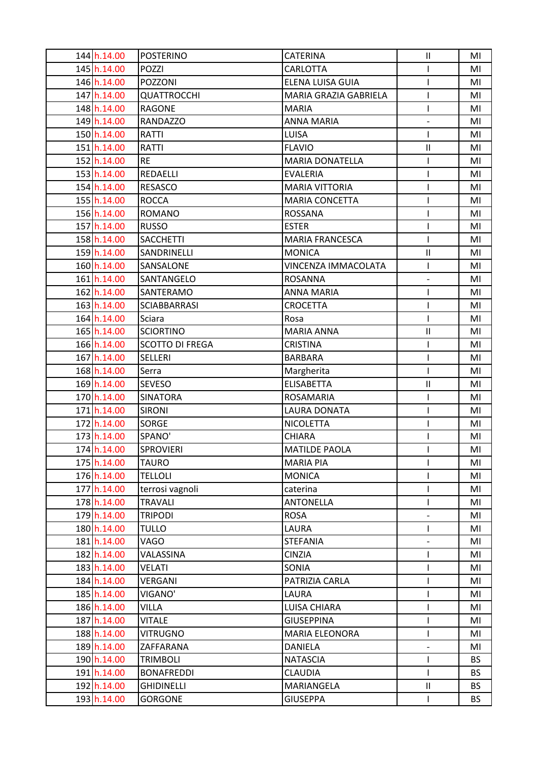| 144 h.14.00 | <b>POSTERINO</b>       | <b>CATERINA</b>        | $\ensuremath{\mathsf{II}}$ | MI        |
|-------------|------------------------|------------------------|----------------------------|-----------|
| 145 h.14.00 | <b>POZZI</b>           | CARLOTTA               |                            | MI        |
| 146 h.14.00 | POZZONI                | ELENA LUISA GUIA       | I                          | MI        |
| 147 h.14.00 | <b>QUATTROCCHI</b>     | MARIA GRAZIA GABRIELA  | T                          | MI        |
| 148 h.14.00 | <b>RAGONE</b>          | <b>MARIA</b>           |                            | MI        |
| 149 h.14.00 | <b>RANDAZZO</b>        | <b>ANNA MARIA</b>      | $\overline{\phantom{0}}$   | MI        |
| 150 h.14.00 | <b>RATTI</b>           | <b>LUISA</b>           | L                          | MI        |
| 151 h.14.00 | RATTI                  | <b>FLAVIO</b>          | $\sf II$                   | MI        |
| 152 h.14.00 | <b>RE</b>              | <b>MARIA DONATELLA</b> | I                          | MI        |
| 153 h.14.00 | REDAELLI               | <b>EVALERIA</b>        | I                          | MI        |
| 154 h.14.00 | <b>RESASCO</b>         | <b>MARIA VITTORIA</b>  |                            | MI        |
| 155 h.14.00 | <b>ROCCA</b>           | <b>MARIA CONCETTA</b>  |                            | MI        |
| 156 h.14.00 | <b>ROMANO</b>          | <b>ROSSANA</b>         |                            | MI        |
| 157 h.14.00 | <b>RUSSO</b>           | <b>ESTER</b>           |                            | MI        |
| 158 h.14.00 | <b>SACCHETTI</b>       | <b>MARIA FRANCESCA</b> |                            | MI        |
| 159 h.14.00 | SANDRINELLI            | <b>MONICA</b>          | $\ensuremath{\mathsf{II}}$ | MI        |
| 160 h.14.00 | SANSALONE              | VINCENZA IMMACOLATA    | I                          | MI        |
| 161 h.14.00 | SANTANGELO             | <b>ROSANNA</b>         | $\overline{a}$             | MI        |
| 162 h.14.00 | SANTERAMO              | <b>ANNA MARIA</b>      | T                          | MI        |
| 163 h.14.00 | <b>SCIABBARRASI</b>    | <b>CROCETTA</b>        | I                          | MI        |
| 164 h.14.00 | Sciara                 | Rosa                   |                            | MI        |
| 165 h.14.00 | <b>SCIORTINO</b>       | <b>MARIA ANNA</b>      | $\ensuremath{\mathsf{II}}$ | MI        |
| 166 h.14.00 | <b>SCOTTO DI FREGA</b> | <b>CRISTINA</b>        | L                          | MI        |
| 167 h.14.00 | <b>SELLERI</b>         | <b>BARBARA</b>         | I                          | MI        |
| 168 h.14.00 | Serra                  | Margherita             | I                          | MI        |
| 169 h.14.00 | <b>SEVESO</b>          | <b>ELISABETTA</b>      | $\ensuremath{\mathsf{II}}$ | MI        |
| 170 h.14.00 | <b>SINATORA</b>        | <b>ROSAMARIA</b>       | I                          | MI        |
| 171 h.14.00 | <b>SIRONI</b>          | <b>LAURA DONATA</b>    |                            | MI        |
| 172 h.14.00 | <b>SORGE</b>           | <b>NICOLETTA</b>       |                            | MI        |
| 173 h.14.00 | SPANO'                 | <b>CHIARA</b>          |                            | MI        |
| 174 h.14.00 | <b>SPROVIERI</b>       | <b>MATILDE PAOLA</b>   |                            | MI        |
| 175 h.14.00 | <b>TAURO</b>           | <b>MARIA PIA</b>       |                            | MI        |
| 176 h.14.00 | <b>TELLOLI</b>         | <b>MONICA</b>          |                            | MI        |
| 177 h.14.00 | terrosi vagnoli        | caterina               | ı                          | MI        |
| 178 h.14.00 | <b>TRAVALI</b>         | <b>ANTONELLA</b>       | I                          | MI        |
| 179 h.14.00 | <b>TRIPODI</b>         | <b>ROSA</b>            | $\overline{a}$             | MI        |
| 180 h.14.00 | <b>TULLO</b>           | LAURA                  | I                          | MI        |
| 181 h.14.00 | VAGO                   | <b>STEFANIA</b>        | $\overline{\phantom{0}}$   | MI        |
| 182 h.14.00 | VALASSINA              | <b>CINZIA</b>          | I                          | MI        |
| 183 h.14.00 | <b>VELATI</b>          | SONIA                  | ı                          | MI        |
| 184 h.14.00 | VERGANI                | PATRIZIA CARLA         |                            | MI        |
| 185 h.14.00 | VIGANO'                | LAURA                  | I                          | MI        |
| 186 h.14.00 | VILLA                  | LUISA CHIARA           | ı                          | MI        |
| 187 h.14.00 | <b>VITALE</b>          | <b>GIUSEPPINA</b>      | I                          | MI        |
| 188 h.14.00 | <b>VITRUGNO</b>        | <b>MARIA ELEONORA</b>  | L                          | MI        |
| 189 h.14.00 | ZAFFARANA              | <b>DANIELA</b>         | $\overline{\phantom{0}}$   | MI        |
| 190 h.14.00 | <b>TRIMBOLI</b>        | <b>NATASCIA</b>        | I                          | <b>BS</b> |
| 191 h.14.00 | <b>BONAFREDDI</b>      | <b>CLAUDIA</b>         | I                          | <b>BS</b> |
| 192 h.14.00 | <b>GHIDINELLI</b>      | MARIANGELA             | $\rm{II}$                  | <b>BS</b> |
| 193 h.14.00 | <b>GORGONE</b>         | <b>GIUSEPPA</b>        | L                          | <b>BS</b> |